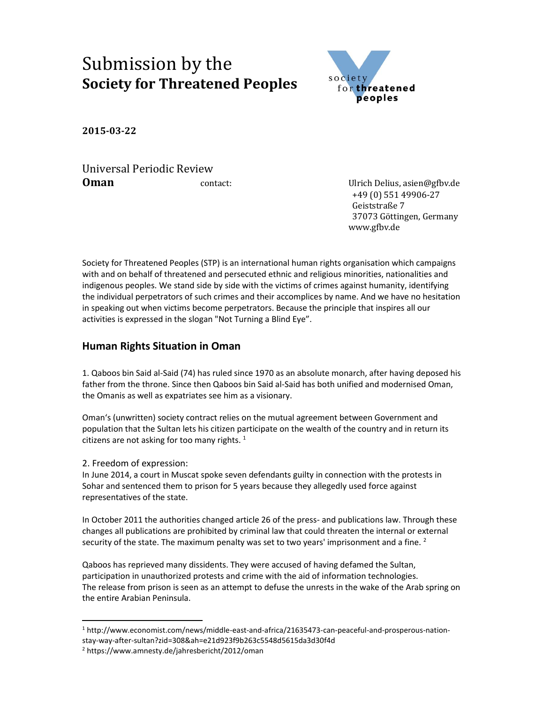# Submission by the **Society for Threatened Peoples**



**2015-03-22**

Universal Periodic Review **Oman Contact:** Contact: Ulrich Delius, asien@gfbv.de

 +49 (0) 551 49906-27 Geiststraße 7 37073 Göttingen, Germany www.gfbv.de

Society for Threatened Peoples (STP) is an international human rights organisation which campaigns with and on behalf of threatened and persecuted ethnic and religious minorities, nationalities and indigenous peoples. We stand side by side with the victims of crimes against humanity, identifying the individual perpetrators of such crimes and their accomplices by name. And we have no hesitation in speaking out when victims become perpetrators. Because the principle that inspires all our activities is expressed in the slogan "Not Turning a Blind Eye".

## **Human Rights Situation in Oman**

1. Qaboos bin Said al-Said (74) has ruled since 1970 as an absolute monarch, after having deposed his father from the throne. Since then Qaboos bin Said al-Said has both unified and modernised Oman, the Omanis as well as expatriates see him as a visionary.

Oman's (unwritten) society contract relies on the mutual agreement between Government and population that the Sultan lets his citizen participate on the wealth of the country and in return its citizens are not asking for too many rights.  $1$ 

2. Freedom of expression:

In June 2014, a court in Muscat spoke seven defendants guilty in connection with the protests in Sohar and sentenced them to prison for 5 years because they allegedly used force against representatives of the state.

In October 2011 the authorities changed article 26 of the press- and publications law. Through these changes all publications are prohibited by criminal law that could threaten the internal or external security of the state. The maximum penalty was set to two years' imprisonment and a fine.  $2$ 

Qaboos has reprieved many dissidents. They were accused of having defamed the Sultan, participation in unauthorized protests and crime with the aid of information technologies. The release from prison is seen as an attempt to defuse the unrests in the wake of the Arab spring on the entire Arabian Peninsula.

 <sup>1</sup> http://www.economist.com/news/middle-east-and-africa/21635473-can-peaceful-and-prosperous-nationstay-way-after-sultan?zid=308&ah=e21d923f9b263c5548d5615da3d30f4d

<sup>2</sup> https://www.amnesty.de/jahresbericht/2012/oman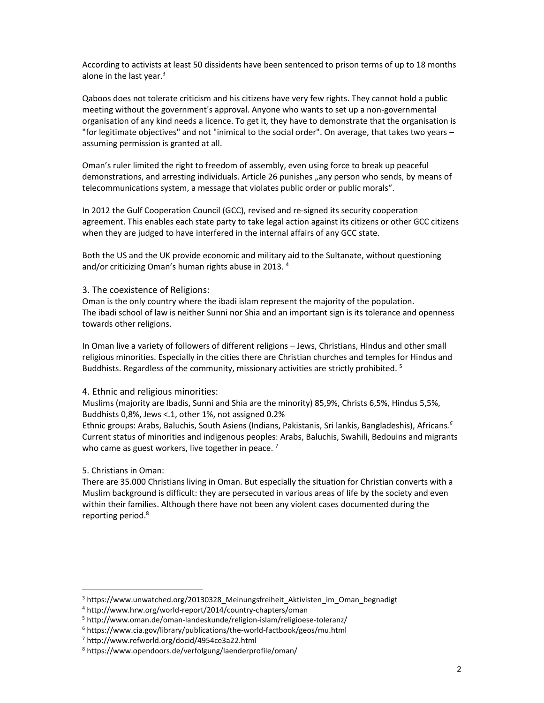According to activists at least 50 dissidents have been sentenced to prison terms of up to 18 months alone in the last year. $3$ 

Qaboos does not tolerate criticism and his citizens have very few rights. They cannot hold a public meeting without the government's approval. Anyone who wants to set up a non-governmental organisation of any kind needs a licence. To get it, they have to demonstrate that the organisation is "for legitimate objectives" and not "inimical to the social order". On average, that takes two years – assuming permission is granted at all.

Oman's ruler limited the right to freedom of assembly, even using force to break up peaceful demonstrations, and arresting individuals. Article 26 punishes "any person who sends, by means of telecommunications system, a message that violates public order or public morals".

In 2012 the Gulf Cooperation Council (GCC), revised and re-signed its security cooperation agreement. This enables each state party to take legal action against its citizens or other GCC citizens when they are judged to have interfered in the internal affairs of any GCC state.

Both the US and the UK provide economic and military aid to the Sultanate, without questioning and/or criticizing Oman's human rights abuse in 2013. <sup>4</sup>

#### 3. The coexistence of Religions:

Oman is the only country where the ibadi islam represent the majority of the population. The ibadi school of law is neither Sunni nor Shia and an important sign is its tolerance and openness towards other religions.

In Oman live a variety of followers of different religions – Jews, Christians, Hindus and other small religious minorities. Especially in the cities there are Christian churches and temples for Hindus and Buddhists. Regardless of the community, missionary activities are strictly prohibited.  $5$ 

### 4. Ethnic and religious minorities:

Muslims (majority are Ibadis, Sunni and Shia are the minority) 85,9%, Christs 6,5%, Hindus 5,5%, Buddhists 0,8%, Jews <.1, other 1%, not assigned 0.2%

Ethnic groups: Arabs, Baluchis, South Asiens (Indians, Pakistanis, Sri lankis, Bangladeshis), Africans*. 6*  Current status of minorities and indigenous peoples: Arabs, Baluchis, Swahili, Bedouins and migrants who came as guest workers, live together in peace.<sup>7</sup>

5. Christians in Oman:

There are 35.000 Christians living in Oman. But especially the situation for Christian converts with a Muslim background is difficult: they are persecuted in various areas of life by the society and even within their families. Although there have not been any violent cases documented during the reporting period.<sup>8</sup>

<sup>&</sup>lt;sup>3</sup> https://www.unwatched.org/20130328 Meinungsfreiheit Aktivisten im Oman begnadigt

<sup>4</sup> http://www.hrw.org/world-report/2014/country-chapters/oman

<sup>5</sup> http://www.oman.de/oman-landeskunde/religion-islam/religioese-toleranz/

<sup>6</sup> https://www.cia.gov/library/publications/the-world-factbook/geos/mu.html

<sup>7</sup> http://www.refworld.org/docid/4954ce3a22.html

<sup>8</sup> https://www.opendoors.de/verfolgung/laenderprofile/oman/